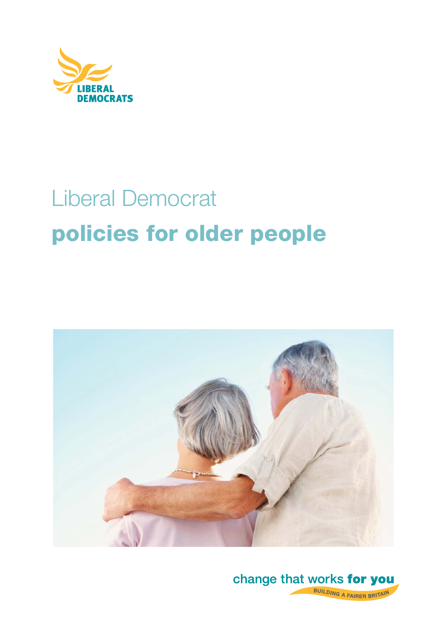

# Liberal Democrat **policies for older people**



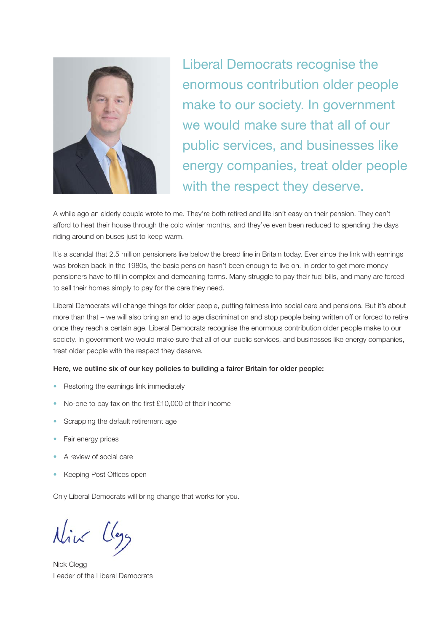

Liberal Democrats recognise the enormous contribution older people make to our society. In government we would make sure that all of our public services, and businesses like energy companies, treat older people with the respect they deserve.

A while ago an elderly couple wrote to me. They're both retired and life isn't easy on their pension. They can't afford to heat their house through the cold winter months, and they've even been reduced to spending the days riding around on buses just to keep warm.

It's a scandal that 2.5 million pensioners live below the bread line in Britain today. Ever since the link with earnings was broken back in the 1980s, the basic pension hasn't been enough to live on. In order to get more money pensioners have to fill in complex and demeaning forms. Many struggle to pay their fuel bills, and many are forced to sell their homes simply to pay for the care they need.

Liberal Democrats will change things for older people, putting fairness into social care and pensions. But it's about more than that – we will also bring an end to age discrimination and stop people being written off or forced to retire once they reach a certain age. Liberal Democrats recognise the enormous contribution older people make to our society. In government we would make sure that all of our public services, and businesses like energy companies, treat older people with the respect they deserve.

#### **Here, we outline six of our key policies to building a fairer Britain for older people:**

- Restoring the earnings link immediately
- No-one to pay tax on the first £10,000 of their income
- Scrapping the default retirement age
- Fair energy prices
- A review of social care
- Keeping Post Offices open

Only Liberal Democrats will bring change that works for you.

Nick Llega

Nick Clegg Leader of the Liberal Democrats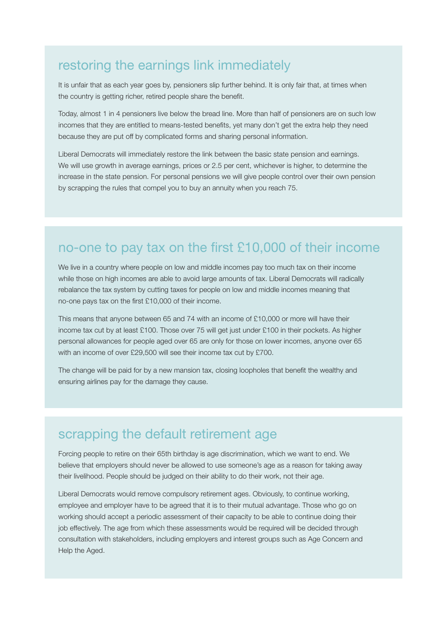### restoring the earnings link immediately

It is unfair that as each year goes by, pensioners slip further behind. It is only fair that, at times when the country is getting richer, retired people share the benefit.

Today, almost 1 in 4 pensioners live below the bread line. More than half of pensioners are on such low incomes that they are entitled to means-tested benefits, yet many don't get the extra help they need because they are put off by complicated forms and sharing personal information.

Liberal Democrats will immediately restore the link between the basic state pension and earnings. We will use growth in average earnings, prices or 2.5 per cent, whichever is higher, to determine the increase in the state pension. For personal pensions we will give people control over their own pension by scrapping the rules that compel you to buy an annuity when you reach 75.

## no-one to pay tax on the first  $£10,000$  of their income

We live in a country where people on low and middle incomes pay too much tax on their income while those on high incomes are able to avoid large amounts of tax. Liberal Democrats will radically rebalance the tax system by cutting taxes for people on low and middle incomes meaning that no-one pays tax on the first  $£10,000$  of their income.

This means that anyone between 65 and 74 with an income of £10,000 or more will have their income tax cut by at least £100. Those over 75 will get just under £100 in their pockets. As higher personal allowances for people aged over 65 are only for those on lower incomes, anyone over 65 with an income of over £29,500 will see their income tax cut by £700.

The change will be paid for by a new mansion tax, closing loopholes that benefit the wealthy and ensuring airlines pay for the damage they cause.

### scrapping the default retirement age

Forcing people to retire on their 65th birthday is age discrimination, which we want to end. We believe that employers should never be allowed to use someone's age as a reason for taking away their livelihood. People should be judged on their ability to do their work, not their age.

Liberal Democrats would remove compulsory retirement ages. Obviously, to continue working, employee and employer have to be agreed that it is to their mutual advantage. Those who go on working should accept a periodic assessment of their capacity to be able to continue doing their job effectively. The age from which these assessments would be required will be decided through consultation with stakeholders, including employers and interest groups such as Age Concern and Help the Aged.